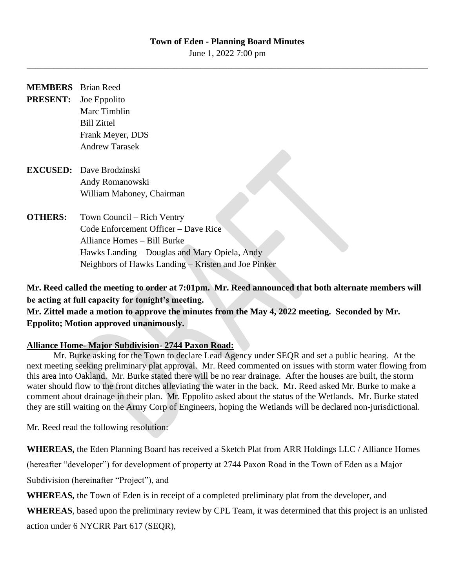#### **Town of Eden - Planning Board Minutes**

June 1, 2022 7:00 pm \_\_\_\_\_\_\_\_\_\_\_\_\_\_\_\_\_\_\_\_\_\_\_\_\_\_\_\_\_\_\_\_\_\_\_\_\_\_\_\_\_\_\_\_\_\_\_\_\_\_\_\_\_\_\_\_\_\_\_\_\_\_\_\_\_\_\_\_\_\_\_\_\_\_\_\_\_\_\_\_\_\_\_\_\_\_\_\_\_\_

| <b>MEMBERS</b> Brian Reed |                                               |
|---------------------------|-----------------------------------------------|
| <b>PRESENT:</b>           | Joe Eppolito                                  |
|                           | Marc Timblin                                  |
|                           | <b>Bill Zittel</b>                            |
|                           | Frank Meyer, DDS                              |
|                           | Andrew Tarasek                                |
|                           | <b>EXCUSED:</b> Dave Brodzinski               |
|                           | Andy Romanowski                               |
|                           | William Mahoney, Chairman                     |
| <b>OTHERS:</b>            | Town Council – Rich Ventry                    |
|                           | Code Enforcement Officer – Dave Rice          |
|                           | Alliance Homes – Bill Burke                   |
|                           | Hawks Landing – Douglas and Mary Opiela, Andy |

**Mr. Reed called the meeting to order at 7:01pm. Mr. Reed announced that both alternate members will be acting at full capacity for tonight's meeting.** 

**Mr. Zittel made a motion to approve the minutes from the May 4, 2022 meeting. Seconded by Mr. Eppolito; Motion approved unanimously.**

Neighbors of Hawks Landing – Kristen and Joe Pinker

### **Alliance Home- Major Subdivision- 2744 Paxon Road:**

Mr. Burke asking for the Town to declare Lead Agency under SEQR and set a public hearing. At the next meeting seeking preliminary plat approval. Mr. Reed commented on issues with storm water flowing from this area into Oakland. Mr. Burke stated there will be no rear drainage. After the houses are built, the storm water should flow to the front ditches alleviating the water in the back. Mr. Reed asked Mr. Burke to make a comment about drainage in their plan. Mr. Eppolito asked about the status of the Wetlands. Mr. Burke stated they are still waiting on the Army Corp of Engineers, hoping the Wetlands will be declared non-jurisdictional.

Mr. Reed read the following resolution:

**WHEREAS,** the Eden Planning Board has received a Sketch Plat from ARR Holdings LLC / Alliance Homes

(hereafter "developer") for development of property at 2744 Paxon Road in the Town of Eden as a Major

Subdivision (hereinafter "Project"), and

**WHEREAS,** the Town of Eden is in receipt of a completed preliminary plat from the developer, and

**WHEREAS**, based upon the preliminary review by CPL Team, it was determined that this project is an unlisted action under 6 NYCRR Part 617 (SEQR),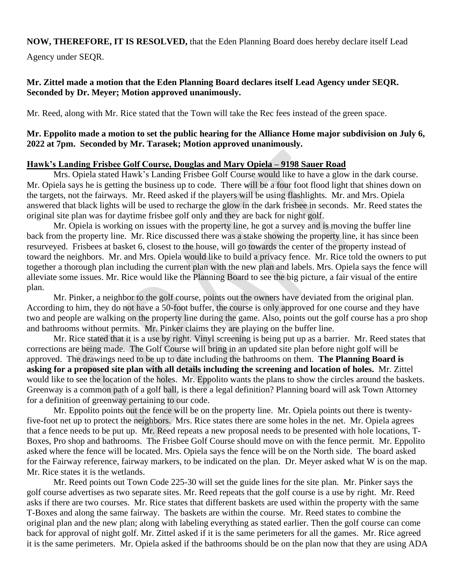# **NOW, THEREFORE, IT IS RESOLVED,** that the Eden Planning Board does hereby declare itself Lead

Agency under SEQR.

### **Mr. Zittel made a motion that the Eden Planning Board declares itself Lead Agency under SEQR. Seconded by Dr. Meyer; Motion approved unanimously.**

Mr. Reed, along with Mr. Rice stated that the Town will take the Rec fees instead of the green space.

### **Mr. Eppolito made a motion to set the public hearing for the Alliance Home major subdivision on July 6, 2022 at 7pm. Seconded by Mr. Tarasek; Motion approved unanimously.**

#### **Hawk's Landing Frisbee Golf Course, Douglas and Mary Opiela – 9198 Sauer Road**

Mrs. Opiela stated Hawk's Landing Frisbee Golf Course would like to have a glow in the dark course. Mr. Opiela says he is getting the business up to code. There will be a four foot flood light that shines down on the targets, not the fairways. Mr. Reed asked if the players will be using flashlights. Mr. and Mrs. Opiela answered that black lights will be used to recharge the glow in the dark frisbee in seconds. Mr. Reed states the original site plan was for daytime frisbee golf only and they are back for night golf.

Mr. Opiela is working on issues with the property line, he got a survey and is moving the buffer line back from the property line. Mr. Rice discussed there was a stake showing the property line, it has since been resurveyed. Frisbees at basket 6, closest to the house, will go towards the center of the property instead of toward the neighbors. Mr. and Mrs. Opiela would like to build a privacy fence. Mr. Rice told the owners to put together a thorough plan including the current plan with the new plan and labels. Mrs. Opiela says the fence will alleviate some issues. Mr. Rice would like the Planning Board to see the big picture, a fair visual of the entire plan.

Mr. Pinker, a neighbor to the golf course, points out the owners have deviated from the original plan. According to him, they do not have a 50-foot buffer, the course is only approved for one course and they have two and people are walking on the property line during the game. Also, points out the golf course has a pro shop and bathrooms without permits. Mr. Pinker claims they are playing on the buffer line.

Mr. Rice stated that it is a use by right. Vinyl screening is being put up as a barrier. Mr. Reed states that corrections are being made. The Golf Course will bring in an updated site plan before night golf will be approved. The drawings need to be up to date including the bathrooms on them. **The Planning Board is asking for a proposed site plan with all details including the screening and location of holes.** Mr. Zittel would like to see the location of the holes. Mr. Eppolito wants the plans to show the circles around the baskets. Greenway is a common path of a golf ball, is there a legal definition? Planning board will ask Town Attorney for a definition of greenway pertaining to our code.

Mr. Eppolito points out the fence will be on the property line. Mr. Opiela points out there is twentyfive-foot net up to protect the neighbors. Mrs. Rice states there are some holes in the net. Mr. Opiela agrees that a fence needs to be put up. Mr. Reed repeats a new proposal needs to be presented with hole locations, T-Boxes, Pro shop and bathrooms. The Frisbee Golf Course should move on with the fence permit. Mr. Eppolito asked where the fence will be located. Mrs. Opiela says the fence will be on the North side. The board asked for the Fairway reference, fairway markers, to be indicated on the plan. Dr. Meyer asked what W is on the map. Mr. Rice states it is the wetlands.

Mr. Reed points out Town Code 225-30 will set the guide lines for the site plan. Mr. Pinker says the golf course advertises as two separate sites. Mr. Reed repeats that the golf course is a use by right. Mr. Reed asks if there are two courses. Mr. Rice states that different baskets are used within the property with the same T-Boxes and along the same fairway. The baskets are within the course. Mr. Reed states to combine the original plan and the new plan; along with labeling everything as stated earlier. Then the golf course can come back for approval of night golf. Mr. Zittel asked if it is the same perimeters for all the games. Mr. Rice agreed it is the same perimeters. Mr. Opiela asked if the bathrooms should be on the plan now that they are using ADA